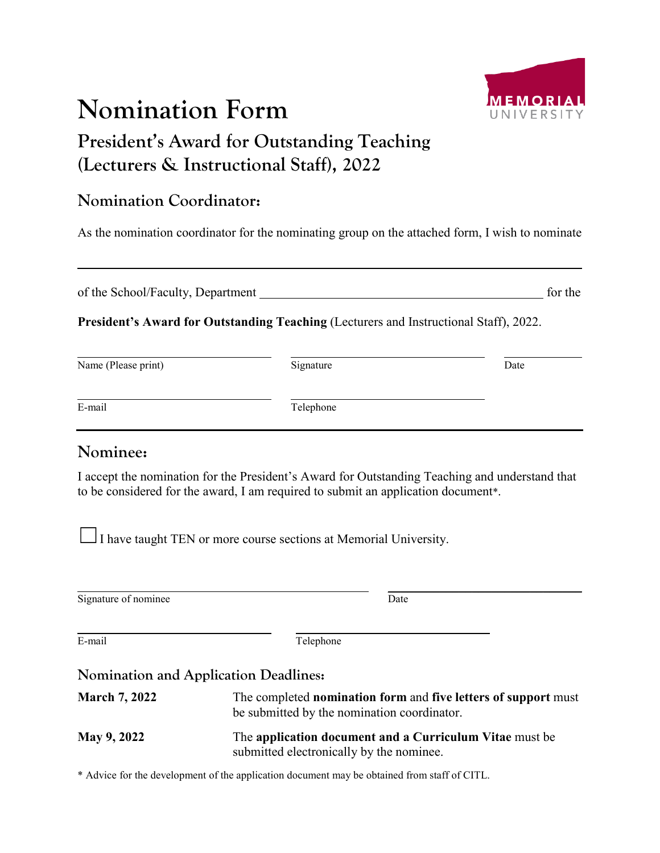# **Nomination Form**

## **President's Award for Outstanding Teaching (Lecturers & Instructional Staff), 2022**

#### **Nomination Coordinator:**

As the nomination coordinator for the nominating group on the attached form, I wish to nominate

of the School/Faculty, Department for the school/Faculty, Department for the for the for the school/Faculty, Department  $f(x)$ 

**President's Award for Outstanding Teaching** (Lecturers and Instructional Staff), 2022.

| Name (Please print) | Signature | Date |
|---------------------|-----------|------|
| E-mail              | Telephone |      |

#### **Nominee:**

I accept the nomination for the President's Award for Outstanding Teaching and understand that to be considered for the award, I am required to submit an application document\*.

□ I have taught TEN or more course sections at Memorial University.

| Signature of nominee                  | Date                                                                                                                        |
|---------------------------------------|-----------------------------------------------------------------------------------------------------------------------------|
| E-mail                                | Telephone                                                                                                                   |
| Nomination and Application Deadlines: |                                                                                                                             |
| <b>March 7, 2022</b>                  | The completed <b>nomination form</b> and <b>five letters of support</b> must<br>be submitted by the nomination coordinator. |
| <b>May 9, 2022</b>                    | The application document and a Curriculum Vitae must be<br>submitted electronically by the nominee.                         |

\* Advice for the development of the application document may be obtained from staff of CITL.